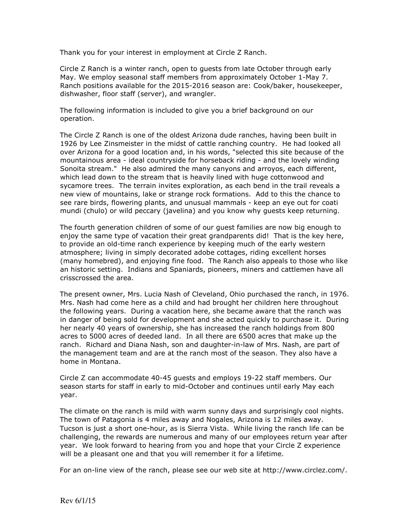Thank you for your interest in employment at Circle Z Ranch.

Circle Z Ranch is a winter ranch, open to guests from late October through early May. We employ seasonal staff members from approximately October 1-May 7. Ranch positions available for the 2015-2016 season are: Cook/baker, housekeeper, dishwasher, floor staff (server), and wrangler.

The following information is included to give you a brief background on our operation.

The Circle Z Ranch is one of the oldest Arizona dude ranches, having been built in 1926 by Lee Zinsmeister in the midst of cattle ranching country. He had looked all over Arizona for a good location and, in his words, "selected this site because of the mountainous area - ideal countryside for horseback riding - and the lovely winding Sonoita stream." He also admired the many canyons and arroyos, each different, which lead down to the stream that is heavily lined with huge cottonwood and sycamore trees. The terrain invites exploration, as each bend in the trail reveals a new view of mountains, lake or strange rock formations. Add to this the chance to see rare birds, flowering plants, and unusual mammals - keep an eye out for coati mundi (chulo) or wild peccary (javelina) and you know why guests keep returning.

The fourth generation children of some of our guest families are now big enough to enjoy the same type of vacation their great grandparents did! That is the key here, to provide an old-time ranch experience by keeping much of the early western atmosphere; living in simply decorated adobe cottages, riding excellent horses (many homebred), and enjoying fine food. The Ranch also appeals to those who like an historic setting. Indians and Spaniards, pioneers, miners and cattlemen have all crisscrossed the area.

The present owner, Mrs. Lucia Nash of Cleveland, Ohio purchased the ranch, in 1976. Mrs. Nash had come here as a child and had brought her children here throughout the following years. During a vacation here, she became aware that the ranch was in danger of being sold for development and she acted quickly to purchase it. During her nearly 40 years of ownership, she has increased the ranch holdings from 800 acres to 5000 acres of deeded land. In all there are 6500 acres that make up the ranch. Richard and Diana Nash, son and daughter-in-law of Mrs. Nash, are part of the management team and are at the ranch most of the season. They also have a home in Montana.

Circle Z can accommodate 40-45 guests and employs 19-22 staff members. Our season starts for staff in early to mid-October and continues until early May each year.

The climate on the ranch is mild with warm sunny days and surprisingly cool nights. The town of Patagonia is 4 miles away and Nogales, Arizona is 12 miles away. Tucson is just a short one-hour, as is Sierra Vista. While living the ranch life can be challenging, the rewards are numerous and many of our employees return year after year. We look forward to hearing from you and hope that your Circle Z experience will be a pleasant one and that you will remember it for a lifetime.

For an on-line view of the ranch, please see our web site at http://www.circlez.com/.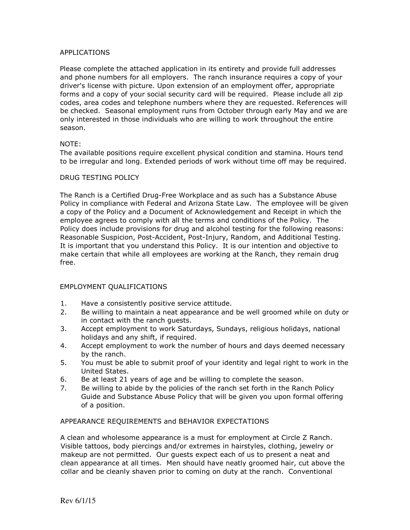## APPLICATIONS

Please complete the attached application in its entirety and provide full addresses and phone numbers for all employers. The ranch insurance requires a copy of your driver's license with picture. Upon extension of an employment offer, appropriate forms and a copy of your social security card will be required. Please include all zip codes, area codes and telephone numbers where they are requested. References will be checked. Seasonal employment runs from October through early May and we are only interested in those individuals who are willing to work throughout the entire season.

# NOTE:

The available positions require excellent physical condition and stamina. Hours tend to be irregular and long. Extended periods of work without time off may be required.

## DRUG TESTING POLICY

The Ranch is a Certified Drug-Free Workplace and as such has a Substance Abuse Policy in compliance with Federal and Arizona State Law. The employee will be given a copy of the Policy and a Document of Acknowledgement and Receipt in which the employee agrees to comply with all the terms and conditions of the Policy. The Policy does include provisions for drug and alcohol testing for the following reasons: Reasonable Suspicion, Post-Accident, Post-Injury, Random, and Additional Testing. It is important that you understand this Policy. It is our intention and objective to make certain that while all employees are working at the Ranch, they remain drug free.

## EMPLOYMENT QUALIFICATIONS

- 1. Have a consistently positive service attitude.
- 2. Be willing to maintain a neat appearance and be well groomed while on duty or in contact with the ranch guests.
- 3. Accept employment to work Saturdays, Sundays, religious holidays, national holidays and any shift, if required.
- 4. Accept employment to work the number of hours and days deemed necessary by the ranch.
- 5. You must be able to submit proof of your identity and legal right to work in the United States.
- 6. Be at least 21 years of age and be willing to complete the season.
- 7. Be willing to abide by the policies of the ranch set forth in the Ranch Policy Guide and Substance Abuse Policy that will be given you upon formal offering of a position.

## APPEARANCE REQUIREMENTS and BEHAVIOR EXPECTATIONS

A clean and wholesome appearance is a must for employment at Circle Z Ranch. Visible tattoos, body piercings and/or extremes in hairstyles, clothing, jewelry or makeup are not permitted. Our guests expect each of us to present a neat and clean appearance at all times. Men should have neatly groomed hair, cut above the collar and be cleanly shaven prior to coming on duty at the ranch. Conventional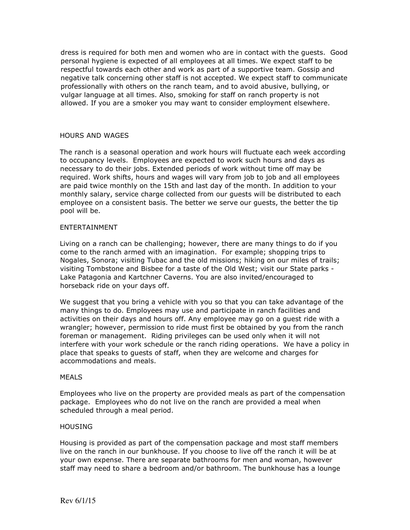dress is required for both men and women who are in contact with the guests. Good personal hygiene is expected of all employees at all times. We expect staff to be respectful towards each other and work as part of a supportive team. Gossip and negative talk concerning other staff is not accepted. We expect staff to communicate professionally with others on the ranch team, and to avoid abusive, bullying, or vulgar language at all times. Also, smoking for staff on ranch property is not allowed. If you are a smoker you may want to consider employment elsewhere.

### HOURS AND WAGES

The ranch is a seasonal operation and work hours will fluctuate each week according to occupancy levels. Employees are expected to work such hours and days as necessary to do their jobs. Extended periods of work without time off may be required. Work shifts, hours and wages will vary from job to job and all employees are paid twice monthly on the 15th and last day of the month. In addition to your monthly salary, service charge collected from our guests will be distributed to each employee on a consistent basis. The better we serve our guests, the better the tip pool will be.

#### ENTERTAINMENT

Living on a ranch can be challenging; however, there are many things to do if you come to the ranch armed with an imagination. For example; shopping trips to Nogales, Sonora; visiting Tubac and the old missions; hiking on our miles of trails; visiting Tombstone and Bisbee for a taste of the Old West; visit our State parks - Lake Patagonia and Kartchner Caverns. You are also invited/encouraged to horseback ride on your days off.

We suggest that you bring a vehicle with you so that you can take advantage of the many things to do. Employees may use and participate in ranch facilities and activities on their days and hours off. Any employee may go on a guest ride with a wrangler; however, permission to ride must first be obtained by you from the ranch foreman or management. Riding privileges can be used only when it will not interfere with your work schedule or the ranch riding operations. We have a policy in place that speaks to guests of staff, when they are welcome and charges for accommodations and meals.

#### MEALS

Employees who live on the property are provided meals as part of the compensation package. Employees who do not live on the ranch are provided a meal when scheduled through a meal period.

### **HOUSING**

Housing is provided as part of the compensation package and most staff members live on the ranch in our bunkhouse. If you choose to live off the ranch it will be at your own expense. There are separate bathrooms for men and woman, however staff may need to share a bedroom and/or bathroom. The bunkhouse has a lounge